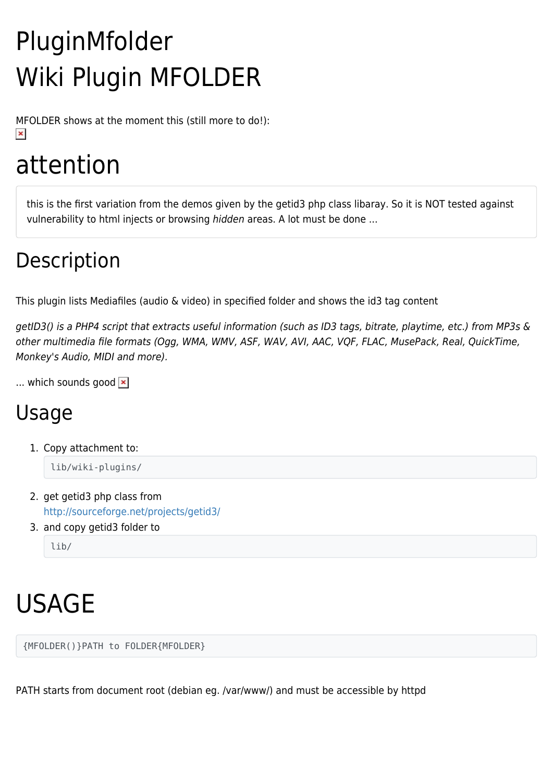# PluginMfolder Wiki Plugin MFOLDER

MFOLDER shows at the moment this (still more to do!):  $\pmb{\times}$ 

## attention

this is the first variation from the demos given by the getid3 php class libaray. So it is NOT tested against vulnerability to html injects or browsing hidden areas. A lot must be done ...

### Description

This plugin lists Mediafiles (audio & video) in specified folder and shows the id3 tag content

getID3() is a PHP4 script that extracts useful information (such as ID3 tags, bitrate, playtime, etc.) from MP3s & other multimedia file formats (Ogg, WMA, WMV, ASF, WAV, AVI, AAC, VQF, FLAC, MusePack, Real, QuickTime, Monkey's Audio, MIDI and more).

... which sounds good  $\ge$ 

### Usage

1. Copy attachment to:

lib/wiki-plugins/

- 2. get getid3 php class from <http://sourceforge.net/projects/getid3/>
- 3. and copy getid3 folder to

lib/

# USAGE

{MFOLDER()}PATH to FOLDER{MFOLDER}

PATH starts from document root (debian eg. /var/www/) and must be accessible by httpd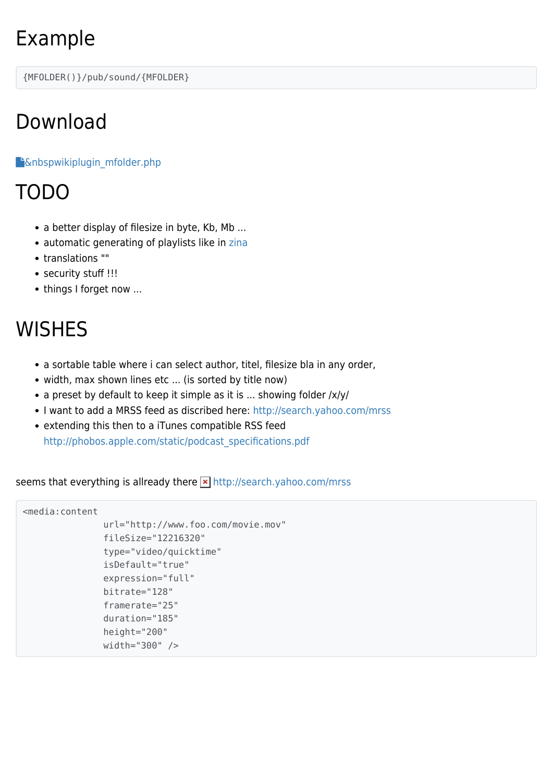### Example

{MFOLDER()}/pub/sound/{MFOLDER}

### Download

#### **F**[&nbspwikiplugin\\_mfolder.php](https://tiki.org/tiki-download_wiki_attachment.php?attId=349&download=y)

#### TODO

- a better display of filesize in byte, Kb, Mb ...
- automatic generating of playlists like in [zina](http://www.pancake.org/zina.html)
- translations [""](https://tiki.org/tiki-editpage.php?page=%22%22)
- security stuff !!!
- things I forget now ...

### **WISHES**

- a sortable table where i can select author, titel, filesize bla in any order,
- width, max shown lines etc ... (is sorted by title now)
- a preset by default to keep it simple as it is ... showing folder /x/y/
- I want to add a MRSS feed as discribed here: <http://search.yahoo.com/mrss>
- extending this then to a iTunes compatible RSS feed [http://phobos.apple.com/static/podcast\\_specifications.pdf](http://phobos.apple.com/static/podcast_specifications.pdf)

seems that everything is allready there **x** <http://search.yahoo.com/mrss>

```
<media:content
     url="http://www.foo.com/movie.mov"
     fileSize="12216320"
     type="video/quicktime"
     isDefault="true"
     expression="full"
     bitrate="128"
     framerate="25"
     duration="185"
     height="200"
     width="300" />
```